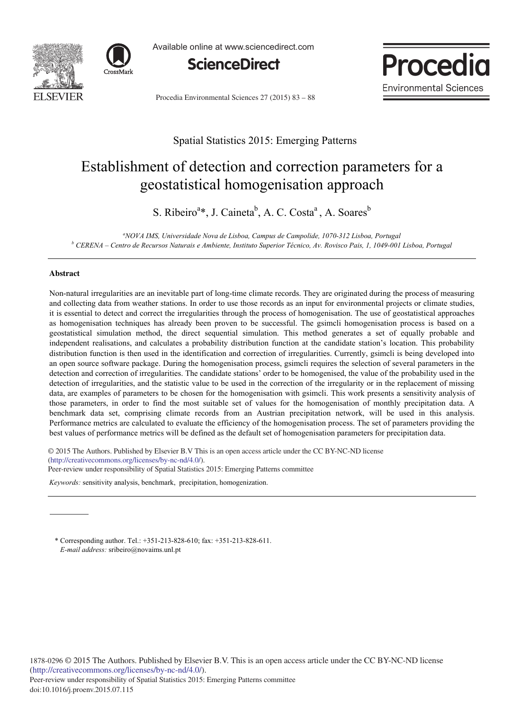



Available online at www.sciencedirect.com



Procedia Environmental Sciences 27 (2015) 83 - 88



## Spatial Statistics 2015: Emerging Patterns

# Establishment of detection and correction parameters for a geostatistical homogenisation approach

S. Ribeiro<sup>a\*</sup>, J. Caineta<sup>b</sup>, A. C. Costa<sup>a</sup>, A. Soares<sup>b</sup>

<sup>a</sup> *NOVA IMS, Universidade Nova de Lisboa, Campus de Campolide, 1070-312 Lisboa, Portugal*<br><sup>*b CEBEMA* Cantro de Peaurese Maturais e Ambiente Justitute Superior Técnico Au Boujese Dais 1, 1040,001</sup>  *CERENA – Centro de Recursos Naturais e Ambiente, Instituto Superior Técnico, Av. Rovisco Pais, 1, 1049-001 Lisboa, Portugal* 

### **Abstract**

Non-natural irregularities are an inevitable part of long-time climate records. They are originated during the process of measuring and collecting data from weather stations. In order to use those records as an input for environmental projects or climate studies, it is essential to detect and correct the irregularities through the process of homogenisation. The use of geostatistical approaches as homogenisation techniques has already been proven to be successful. The gsimcli homogenisation process is based on a geostatistical simulation method, the direct sequential simulation. This method generates a set of equally probable and independent realisations, and calculates a probability distribution function at the candidate station's location. This probability distribution function is then used in the identification and correction of irregularities. Currently, gsimcli is being developed into an open source software package. During the homogenisation process, gsimcli requires the selection of several parameters in the detection and correction of irregularities. The candidate stations' order to be homogenised, the value of the probability used in the detection of irregularities, and the statistic value to be used in the correction of the irregularity or in the replacement of missing data, are examples of parameters to be chosen for the homogenisation with gsimcli. This work presents a sensitivity analysis of those parameters, in order to find the most suitable set of values for the homogenisation of monthly precipitation data. A benchmark data set, comprising climate records from an Austrian precipitation network, will be used in this analysis. Performance metrics are calculated to evaluate the efficiency of the homogenisation process. The set of parameters providing the best values of performance metrics will be defined as the default set of homogenisation parameters for precipitation data.

© 2015 The Authors. Published by Elsevier B.V. © 2015 The Authors. Published by Elsevier B.V This is an open access article under the CC BY-NC-ND license Peer-review under responsibility of Spatial Statistics 2015: Emerging Patterns committee. Peer-review under responsibility of Spatial Statistics 2015: Emerging Patterns committee(http://creativecommons.org/licenses/by-nc-nd/4.0/).

*Keywords:* sensitivity analysis, benchmark, precipitation, homogenization.

\* Corresponding author. Tel.: +351-213-828-610; fax: +351-213-828-611. *E-mail address:* sribeiro@novaims.unl.pt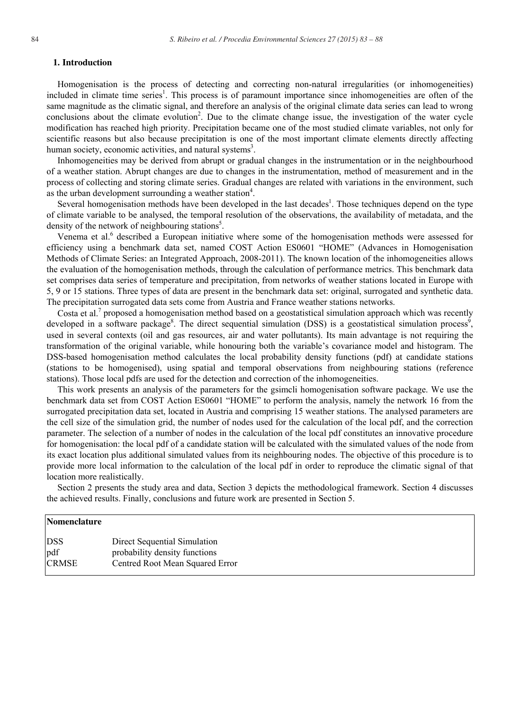### **1. Introduction**

Homogenisation is the process of detecting and correcting non-natural irregularities (or inhomogeneities) included in climate time series<sup>1</sup>. This process is of paramount importance since inhomogeneities are often of the same magnitude as the climatic signal, and therefore an analysis of the original climate data series can lead to wrong conclusions about the climate evolution<sup>2</sup>. Due to the climate change issue, the investigation of the water cycle modification has reached high priority. Precipitation became one of the most studied climate variables, not only for scientific reasons but also because precipitation is one of the most important climate elements directly affecting human society, economic activities, and natural systems<sup>3</sup>.

Inhomogeneities may be derived from abrupt or gradual changes in the instrumentation or in the neighbourhood of a weather station. Abrupt changes are due to changes in the instrumentation, method of measurement and in the process of collecting and storing climate series. Gradual changes are related with variations in the environment, such as the urban development surrounding a weather station<sup>4</sup>.

Several homogenisation methods have been developed in the last decades<sup>1</sup>. Those techniques depend on the type of climate variable to be analysed, the temporal resolution of the observations, the availability of metadata, and the density of the network of neighbouring stations<sup>5</sup>.

Venema et al.<sup>6</sup> described a European initiative where some of the homogenisation methods were assessed for efficiency using a benchmark data set, named COST Action ES0601 "HOME" (Advances in Homogenisation Methods of Climate Series: an Integrated Approach, 2008-2011). The known location of the inhomogeneities allows the evaluation of the homogenisation methods, through the calculation of performance metrics. This benchmark data set comprises data series of temperature and precipitation, from networks of weather stations located in Europe with 5, 9 or 15 stations. Three types of data are present in the benchmark data set: original, surrogated and synthetic data. The precipitation surrogated data sets come from Austria and France weather stations networks.

Costa et al.<sup>7</sup> proposed a homogenisation method based on a geostatistical simulation approach which was recently developed in a software package<sup>8</sup>. The direct sequential simulation (DSS) is a geostatistical simulation process<sup>9</sup>, used in several contexts (oil and gas resources, air and water pollutants). Its main advantage is not requiring the transformation of the original variable, while honouring both the variable's covariance model and histogram. The DSS-based homogenisation method calculates the local probability density functions (pdf) at candidate stations (stations to be homogenised), using spatial and temporal observations from neighbouring stations (reference stations). Those local pdfs are used for the detection and correction of the inhomogeneities.

This work presents an analysis of the parameters for the gsimcli homogenisation software package. We use the benchmark data set from COST Action ES0601 "HOME" to perform the analysis, namely the network 16 from the surrogated precipitation data set, located in Austria and comprising 15 weather stations. The analysed parameters are the cell size of the simulation grid, the number of nodes used for the calculation of the local pdf, and the correction parameter. The selection of a number of nodes in the calculation of the local pdf constitutes an innovative procedure for homogenisation: the local pdf of a candidate station will be calculated with the simulated values of the node from its exact location plus additional simulated values from its neighbouring nodes. The objective of this procedure is to provide more local information to the calculation of the local pdf in order to reproduce the climatic signal of that location more realistically.

Section 2 presents the study area and data, Section 3 depicts the methodological framework. Section 4 discusses the achieved results. Finally, conclusions and future work are presented in Section 5.

| Nomenclature      |                                                               |
|-------------------|---------------------------------------------------------------|
| <b>DSS</b><br>pdf | Direct Sequential Simulation<br>probability density functions |
| <b>CRMSE</b>      | Centred Root Mean Squared Error                               |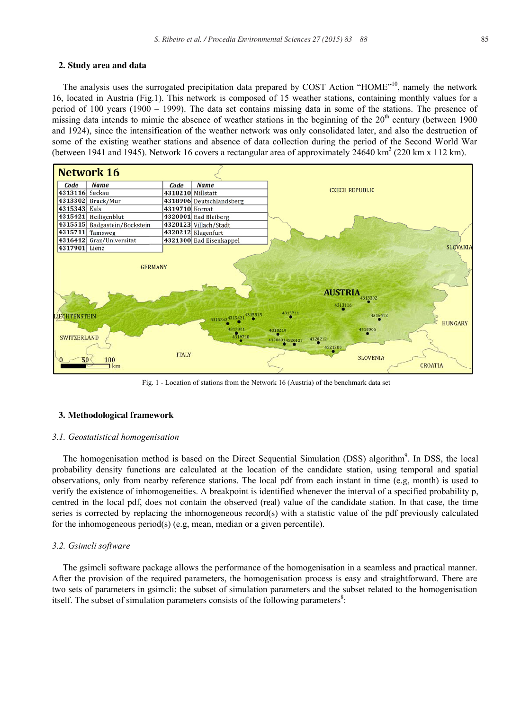#### **2. Study area and data**

The analysis uses the surrogated precipitation data prepared by COST Action "HOME"<sup>10</sup>, namely the network 16, located in Austria (Fig.1). This network is composed of 15 weather stations, containing monthly values for a period of 100 years (1900 – 1999). The data set contains missing data in some of the stations. The presence of missing data intends to mimic the absence of weather stations in the beginning of the 20<sup>th</sup> century (between 1900 and 1924), since the intensification of the weather network was only consolidated later, and also the destruction of some of the existing weather stations and absence of data collection during the period of the Second World War (between 1941 and 1945). Network 16 covers a rectangular area of approximately 24640 km<sup>2</sup> (220 km x 112 km).



Fig. 1 - Location of stations from the Network 16 (Austria) of the benchmark data set

#### **3. Methodological framework**

#### *3.1. Geostatistical homogenisation*

The homogenisation method is based on the Direct Sequential Simulation (DSS) algorithm<sup>9</sup>. In DSS, the local probability density functions are calculated at the location of the candidate station, using temporal and spatial observations, only from nearby reference stations. The local pdf from each instant in time (e.g, month) is used to verify the existence of inhomogeneities. A breakpoint is identified whenever the interval of a specified probability p, centred in the local pdf, does not contain the observed (real) value of the candidate station. In that case, the time series is corrected by replacing the inhomogeneous record(s) with a statistic value of the pdf previously calculated for the inhomogeneous period(s) (e.g, mean, median or a given percentile).

#### *3.2. Gsimcli software*

The gsimcli software package allows the performance of the homogenisation in a seamless and practical manner. After the provision of the required parameters, the homogenisation process is easy and straightforward. There are two sets of parameters in gsimcli: the subset of simulation parameters and the subset related to the homogenisation itself. The subset of simulation parameters consists of the following parameters $\delta$ :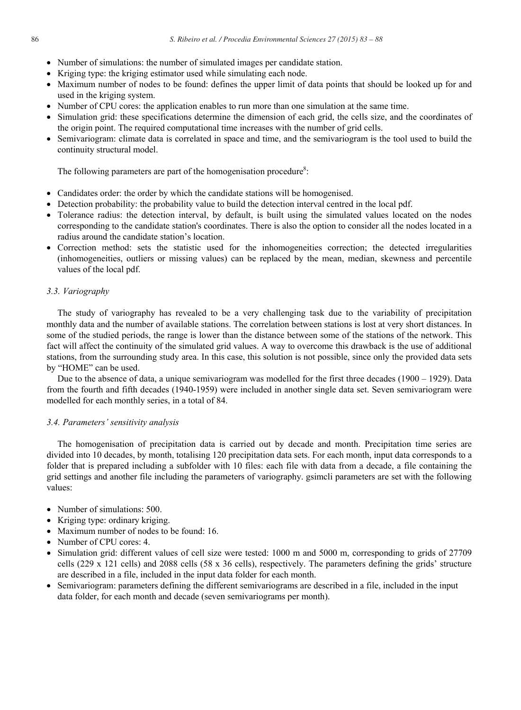- Number of simulations: the number of simulated images per candidate station.
- Kriging type: the kriging estimator used while simulating each node.
- Maximum number of nodes to be found: defines the upper limit of data points that should be looked up for and used in the kriging system.
- Number of CPU cores: the application enables to run more than one simulation at the same time.
- Simulation grid: these specifications determine the dimension of each grid, the cells size, and the coordinates of the origin point. The required computational time increases with the number of grid cells.
- Semivariogram: climate data is correlated in space and time, and the semivariogram is the tool used to build the continuity structural model.

The following parameters are part of the homogenisation procedure<sup>8</sup>:

- Candidates order: the order by which the candidate stations will be homogenised.
- Detection probability: the probability value to build the detection interval centred in the local pdf.
- Tolerance radius: the detection interval, by default, is built using the simulated values located on the nodes corresponding to the candidate station's coordinates. There is also the option to consider all the nodes located in a radius around the candidate station's location.
- Correction method: sets the statistic used for the inhomogeneities correction; the detected irregularities (inhomogeneities, outliers or missing values) can be replaced by the mean, median, skewness and percentile values of the local pdf.

#### *3.3. Variography*

The study of variography has revealed to be a very challenging task due to the variability of precipitation monthly data and the number of available stations. The correlation between stations is lost at very short distances. In some of the studied periods, the range is lower than the distance between some of the stations of the network. This fact will affect the continuity of the simulated grid values. A way to overcome this drawback is the use of additional stations, from the surrounding study area. In this case, this solution is not possible, since only the provided data sets by "HOME" can be used.

Due to the absence of data, a unique semivariogram was modelled for the first three decades (1900 – 1929). Data from the fourth and fifth decades (1940-1959) were included in another single data set. Seven semivariogram were modelled for each monthly series, in a total of 84.

#### *3.4. Parameters' sensitivity analysis*

The homogenisation of precipitation data is carried out by decade and month. Precipitation time series are divided into 10 decades, by month, totalising 120 precipitation data sets. For each month, input data corresponds to a folder that is prepared including a subfolder with 10 files: each file with data from a decade, a file containing the grid settings and another file including the parameters of variography. gsimcli parameters are set with the following values:

- Number of simulations: 500.
- $\bullet$  Kriging type: ordinary kriging.
- Maximum number of nodes to be found: 16.
- Number of CPU cores: 4.
- Simulation grid: different values of cell size were tested: 1000 m and 5000 m, corresponding to grids of 27709 cells (229 x 121 cells) and 2088 cells (58 x 36 cells), respectively. The parameters defining the grids' structure are described in a file, included in the input data folder for each month.
- x Semivariogram: parameters defining the different semivariograms are described in a file, included in the input data folder, for each month and decade (seven semivariograms per month).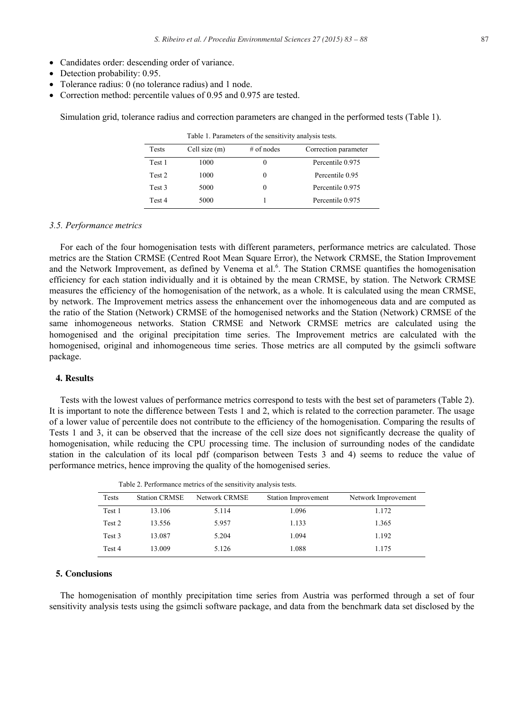- Candidates order: descending order of variance.
- $\bullet$  Detection probability: 0.95.
- Tolerance radius: 0 (no tolerance radius) and 1 node.
- Correction method: percentile values of  $0.95$  and  $0.975$  are tested.

Simulation grid, tolerance radius and correction parameters are changed in the performed tests (Table 1).

| Tests             | Cell size (m) | $#$ of nodes | Correction parameter |  |
|-------------------|---------------|--------------|----------------------|--|
| Test 1            | 1000          | 0            | Percentile 0.975     |  |
| Test 2            | 1000          | 0            | Percentile 0.95      |  |
| Test <sub>3</sub> | 5000          | 0            | Percentile 0.975     |  |
| Test 4            | 5000          |              | Percentile 0.975     |  |

Table 1. Parameters of the sensitivity analysis tests.

*3.5. Performance metrics* 

For each of the four homogenisation tests with different parameters, performance metrics are calculated. Those metrics are the Station CRMSE (Centred Root Mean Square Error), the Network CRMSE, the Station Improvement and the Network Improvement, as defined by Venema et al.<sup>6</sup>. The Station CRMSE quantifies the homogenisation efficiency for each station individually and it is obtained by the mean CRMSE, by station. The Network CRMSE measures the efficiency of the homogenisation of the network, as a whole. It is calculated using the mean CRMSE, by network. The Improvement metrics assess the enhancement over the inhomogeneous data and are computed as the ratio of the Station (Network) CRMSE of the homogenised networks and the Station (Network) CRMSE of the same inhomogeneous networks. Station CRMSE and Network CRMSE metrics are calculated using the homogenised and the original precipitation time series. The Improvement metrics are calculated with the homogenised, original and inhomogeneous time series. Those metrics are all computed by the gsimcli software package.

#### **4. Results**

Tests with the lowest values of performance metrics correspond to tests with the best set of parameters (Table 2). It is important to note the difference between Tests 1 and 2, which is related to the correction parameter. The usage of a lower value of percentile does not contribute to the efficiency of the homogenisation. Comparing the results of Tests 1 and 3, it can be observed that the increase of the cell size does not significantly decrease the quality of homogenisation, while reducing the CPU processing time. The inclusion of surrounding nodes of the candidate station in the calculation of its local pdf (comparison between Tests 3 and 4) seems to reduce the value of performance metrics, hence improving the quality of the homogenised series.

|        |                      |               | $\sim$              |                     |
|--------|----------------------|---------------|---------------------|---------------------|
| Tests  | <b>Station CRMSE</b> | Network CRMSE | Station Improvement | Network Improvement |
| Test 1 | 13.106               | 5.114         | 1.096               | 1.172               |
| Test 2 | 13.556               | 5.957         | 1.133               | 1.365               |
| Test 3 | 13.087               | 5.204         | 1.094               | 1.192               |
| Test 4 | 13.009               | 5.126         | 1.088               | 1.175               |

Table 2. Performance metrics of the sensitivity analysis tests.

#### **5. Conclusions**

The homogenisation of monthly precipitation time series from Austria was performed through a set of four sensitivity analysis tests using the gsimcli software package, and data from the benchmark data set disclosed by the